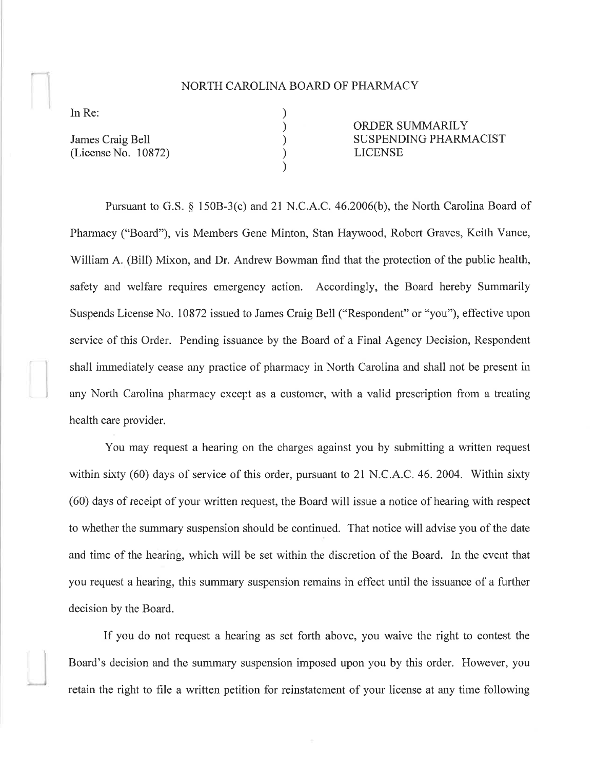## NORTH CAROLINA BOARD OF PHARMACY

) ) ) ) )

In Re:

James Craig Bell (License No. 10872) ORDER SUMMARILY SUSPENDING PHARMACIST LICENSE

Pursuant to G.S.  $\S$  150B-3(c) and 21 N.C.A.C. 46.2006(b), the North Carolina Board of Pharmacy ("Board"), vis Members Gene Minton, Stan Haywood, Robert Graves, Keith Vance, William A. (Bill) Mixon, and Dr. Andrew Bowman find that the protection of the public health, safety and welfare requires emergency action. Accordingly, the Board hereby Summarily Suspends License No. 10872 issued to James Craig Bell ("Respondent" or "you"), effective upon service of this Order. Pending issuance by the Board of a Final Agency Decision, Respondent shall immediately cease any practice of pharmacy in North Carolina and shall not be present iu any North Carolina pharmacy except as a customer, with a valid prescription from a treating health care provider.

You may request a hearing on the charges against you by submitting a written request within sixty (60) days of service of this order, pursuant to 21 N.C.A.C.46. 2004. Within sixty (60) days of receipt of your written request, the Board will issue a notice of hearing with respect to whether the summary suspension should be continued. That notice will advise you of the date and time of the hearing, which will be set within the discretion of the Board. In the event that you request a hearing, this summary suspension remains in effect until the issuance of a further decision by the Board.

If you do not request a hearing as set forth above, you waive the right to contest the Board's decision and the summary suspension imposed upon you by this order. However, you retain the right to file a written petition for reinstatement of your license at any time following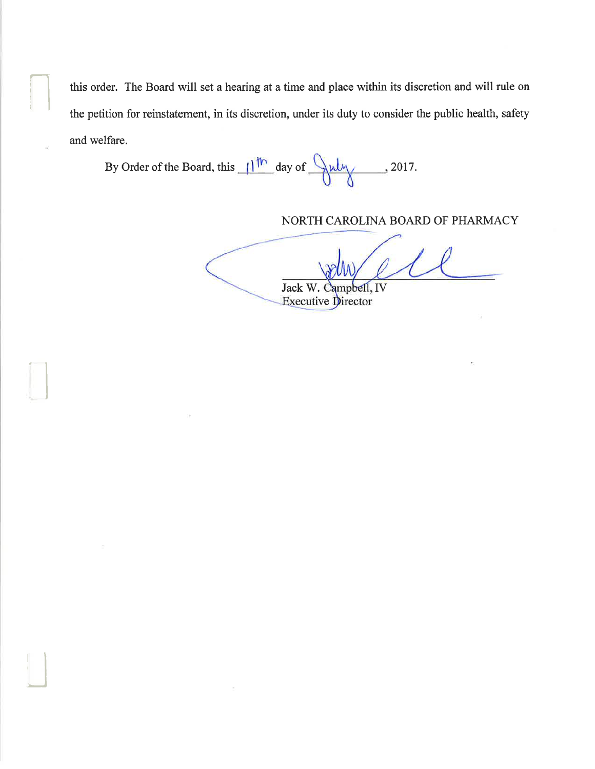this order. The Board will set a hearing at a time and place within its discretion and will rule on the petition for reinstatement, in its discretion, under its duty to consider the public health, safety and welfare.

By Order of the Board, this  $11^{10}$  day of  $\frac{94}{11}$  2017.

NORTH CAROLINA BOARD OF PHARMACY

Jack W. Campbell, IV

Executive Director